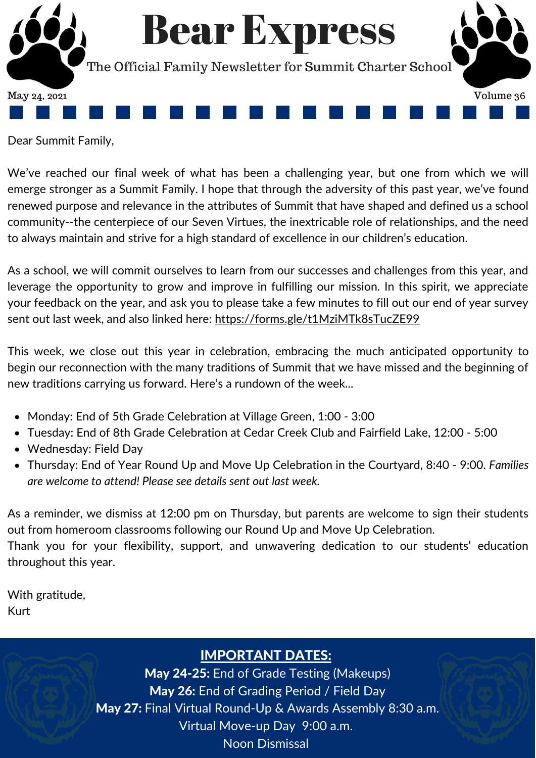

Dear Summit Family,

We've reached our final week of what has been a challenging year, but one from which we will emerge stronger as a Summit Family. I hope that through the adversity of this past year, we've found renewed purpose and relevance in the attributes of Summit that have shaped and defined us a school community--the centerpiece of our Seven Virtues, the inextricable role of relationships, and the need to always maintain and strive for a high standard of excellence in our children's education.

As a school, we will commit ourselves to learn from our successes and challenges from this year, and leverage the opportunity to grow and improve in fulfilling our mission. In this spirit, we appreciate your feedback on the year, and ask you to please take a few minutes to fill out our end of year survey sent out last week, and also linked here: <https://forms.gle/t1MziMTk8sTucZE99>

This week, we close out this year in celebration, embracing the much anticipated opportunity to begin our reconnection with the many traditions of Summit that we have missed and the beginning of new traditions carrying us forward. Here's a rundown of the week...

- Monday: End of 5th Grade Celebration at Village Green, 1:00 3:00
- Tuesday: End of 8th Grade Celebration at Cedar Creek Club and Fairfield Lake, 12:00 5:00
- Wednesday: Field Day
- Thursday: End of Year Round Up and Move Up Celebration in the Courtyard, 8:40 9:00. *Families are welcome to attend! Please see details sent out last week.*

As a reminder, we dismiss at 12:00 pm on Thursday, but parents are welcome to sign their students out from homeroom classrooms following our Round Up and Move Up Celebration. Thank you for your flexibility, support, and unwavering dedication to our students' education throughout this year.

With gratitude, Kurt

#### IMPORTANT DATES:

May 24-25: End of Grade Testing (Makeups) May 26: End of Grading Period / Field Day May 27: Final Virtual Round-Up & Awards Assembly 8:30 a.m. Virtual Move-up Day 9:00 a.m. Noon Dismissal